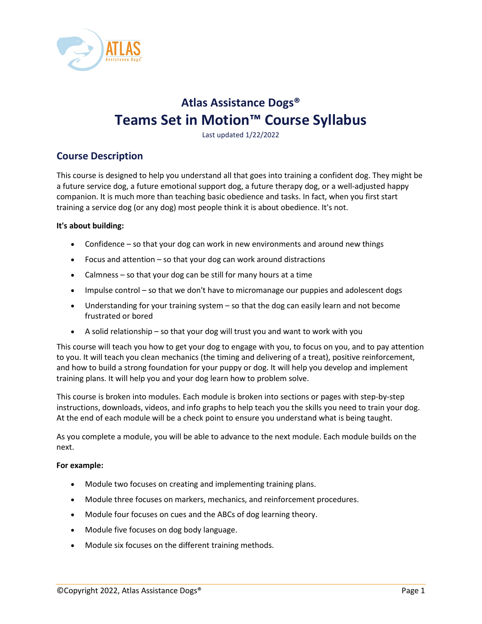

# **Atlas Assistance Dogs® Teams Set in Motion™ Course Syllabus**

Last updated 1/22/2022

## **Course Description**

This course is designed to help you understand all that goes into training a confident dog. They might be a future service dog, a future emotional support dog, a future therapy dog, or a well-adjusted happy companion. It is much more than teaching basic obedience and tasks. In fact, when you first start training a service dog (or any dog) most people think it is about obedience. It's not.

#### **It's about building:**

- Confidence so that your dog can work in new environments and around new things
- Focus and attention so that your dog can work around distractions
- Calmness so that your dog can be still for many hours at a time
- Impulse control so that we don't have to micromanage our puppies and adolescent dogs
- Understanding for your training system so that the dog can easily learn and not become frustrated or bored
- A solid relationship so that your dog will trust you and want to work with you

This course will teach you how to get your dog to engage with you, to focus on you, and to pay attention to you. It will teach you clean mechanics (the timing and delivering of a treat), positive reinforcement, and how to build a strong foundation for your puppy or dog. It will help you develop and implement training plans. It will help you and your dog learn how to problem solve.

This course is broken into modules. Each module is broken into sections or pages with step-by-step instructions, downloads, videos, and info graphs to help teach you the skills you need to train your dog. At the end of each module will be a check point to ensure you understand what is being taught.

As you complete a module, you will be able to advance to the next module. Each module builds on the next.

#### **For example:**

- Module two focuses on creating and implementing training plans.
- Module three focuses on markers, mechanics, and reinforcement procedures.
- Module four focuses on cues and the ABCs of dog learning theory.
- Module five focuses on dog body language.
- Module six focuses on the different training methods.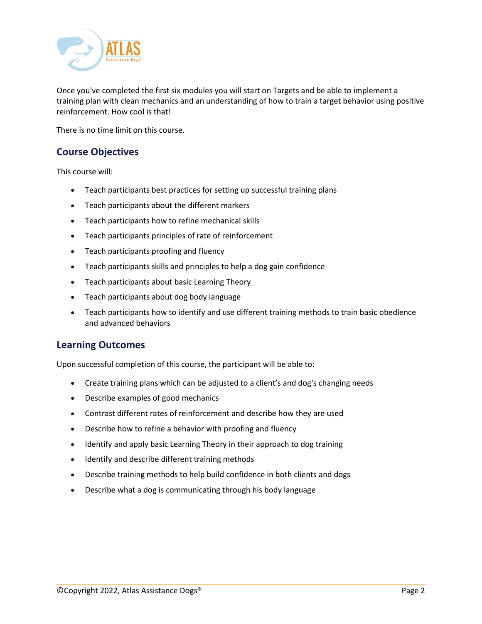

Once you've completed the first six modules you will start on Targets and be able to implement a training plan with clean mechanics and an understanding of how to train a target behavior using positive reinforcement. How cool is that!

There is no time limit on this course.

# **Course Objectives**

This course will:

- Teach participants best practices for setting up successful training plans
- Teach participants about the different markers
- Teach participants how to refine mechanical skills
- Teach participants principles of rate of reinforcement
- Teach participants proofing and fluency
- Teach participants skills and principles to help a dog gain confidence
- Teach participants about basic Learning Theory
- Teach participants about dog body language
- Teach participants how to identify and use different training methods to train basic obedience and advanced behaviors

### **Learning Outcomes**

Upon successful completion of this course, the participant will be able to:

- Create training plans which can be adjusted to a client's and dog's changing needs
- Describe examples of good mechanics
- Contrast different rates of reinforcement and describe how they are used
- Describe how to refine a behavior with proofing and fluency
- Identify and apply basic Learning Theory in their approach to dog training
- Identify and describe different training methods
- Describe training methods to help build confidence in both clients and dogs
- Describe what a dog is communicating through his body language